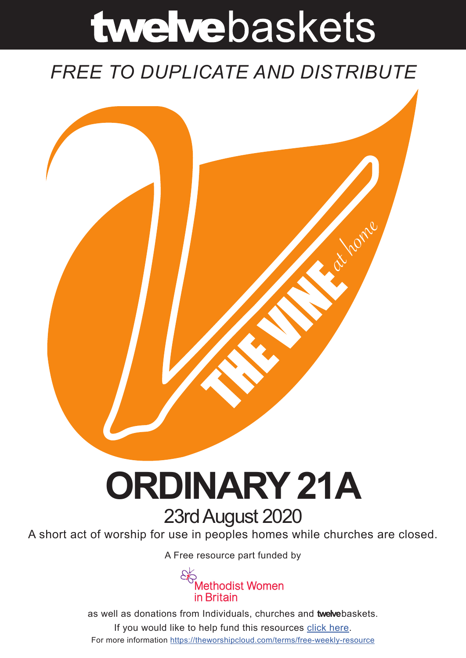# twelvebaskets

### *FREE TO DUPLICATE AND DISTRIBUTE*



## **ORDINARY 21A** 23rd August 2020

A short act of worship for use in peoples homes while churches are closed.

A [Free resource part funded](https://mwib.org.uk) by



as well as donations from Individuals, churches and **twelve**baskets. If you would like to help fund this resources [click here]( https://theworshipcloud.com/tags/donation). For more information<https://theworshipcloud.com/terms/free-weekly-resource>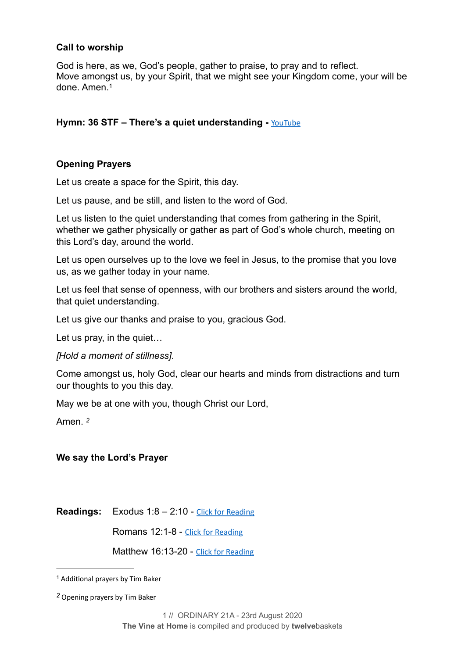#### **Call to worship**

<span id="page-1-2"></span>God is here, as we, God's people, gather to praise, to pray and to reflect. Move amongst us, by your Spirit, that we might see your Kingdom come, your will be done. Amen[.1](#page-1-0)

#### Hymn: 36 STF – There's a quiet understanding - **[YouTube](https://www.youtube.com/watch?v=DTfESpt74Ig)**

#### **Opening Prayers**

Let us create a space for the Spirit, this day.

Let us pause, and be still, and listen to the word of God.

Let us listen to the quiet understanding that comes from gathering in the Spirit, whether we gather physically or gather as part of God's whole church, meeting on this Lord's day, around the world.

Let us open ourselves up to the love we feel in Jesus, to the promise that you love us, as we gather today in your name.

Let us feel that sense of openness, with our brothers and sisters around the world, that quiet understanding.

Let us give our thanks and praise to you, gracious God.

Let us pray, in the quiet…

*[Hold a moment of stillness]*.

Come amongst us, holy God, clear our hearts and minds from distractions and turn our thoughts to you this day.

May we be at one with you, though Christ our Lord,

<span id="page-1-3"></span>Amen. *[2](#page-1-1)*

#### **We say the Lord's Prayer**

**Readings:** Exodus 1:8 – 2:10 - [Click for Reading](https://www.biblegateway.com/passage/?search=Exodus+1:8+%E2%80%93+2:10&version=NRSV)

Romans 12:1-8 - [Click for Reading](https://www.biblegateway.com/passage/?search=Romans+12:1-8&version=NRSV)

Matthew 16:13-20 - [Click for Reading](https://www.biblegateway.com/passage/?search=Matthew+16:13-20&version=NRSV)

<span id="page-1-0"></span><sup>&</sup>lt;sup>[1](#page-1-2)</sup> Additional prayers by Tim Baker

<span id="page-1-1"></span>Opening prayers by Tim Baker *[2](#page-1-3)*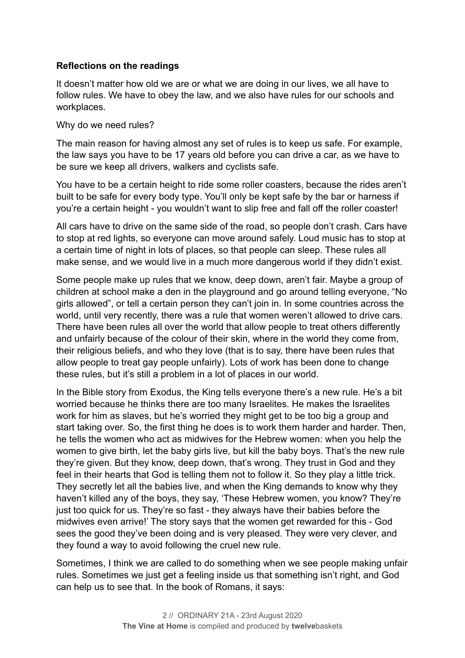#### **Reflections on the readings**

It doesn't matter how old we are or what we are doing in our lives, we all have to follow rules. We have to obey the law, and we also have rules for our schools and workplaces.

Why do we need rules?

The main reason for having almost any set of rules is to keep us safe. For example, the law says you have to be 17 years old before you can drive a car, as we have to be sure we keep all drivers, walkers and cyclists safe.

You have to be a certain height to ride some roller coasters, because the rides aren't built to be safe for every body type. You'll only be kept safe by the bar or harness if you're a certain height - you wouldn't want to slip free and fall off the roller coaster!

All cars have to drive on the same side of the road, so people don't crash. Cars have to stop at red lights, so everyone can move around safely. Loud music has to stop at a certain time of night in lots of places, so that people can sleep. These rules all make sense, and we would live in a much more dangerous world if they didn't exist.

Some people make up rules that we know, deep down, aren't fair. Maybe a group of children at school make a den in the playground and go around telling everyone, "No girls allowed", or tell a certain person they can't join in. In some countries across the world, until very recently, there was a rule that women weren't allowed to drive cars. There have been rules all over the world that allow people to treat others differently and unfairly because of the colour of their skin, where in the world they come from, their religious beliefs, and who they love (that is to say, there have been rules that allow people to treat gay people unfairly). Lots of work has been done to change these rules, but it's still a problem in a lot of places in our world.

In the Bible story from Exodus, the King tells everyone there's a new rule. He's a bit worried because he thinks there are too many Israelites. He makes the Israelites work for him as slaves, but he's worried they might get to be too big a group and start taking over. So, the first thing he does is to work them harder and harder. Then, he tells the women who act as midwives for the Hebrew women: when you help the women to give birth, let the baby girls live, but kill the baby boys. That's the new rule they're given. But they know, deep down, that's wrong. They trust in God and they feel in their hearts that God is telling them not to follow it. So they play a little trick. They secretly let all the babies live, and when the King demands to know why they haven't killed any of the boys, they say, 'These Hebrew women, you know? They're just too quick for us. They're so fast - they always have their babies before the midwives even arrive!' The story says that the women get rewarded for this - God sees the good they've been doing and is very pleased. They were very clever, and they found a way to avoid following the cruel new rule.

Sometimes, I think we are called to do something when we see people making unfair rules. Sometimes we just get a feeling inside us that something isn't right, and God can help us to see that. In the book of Romans, it says: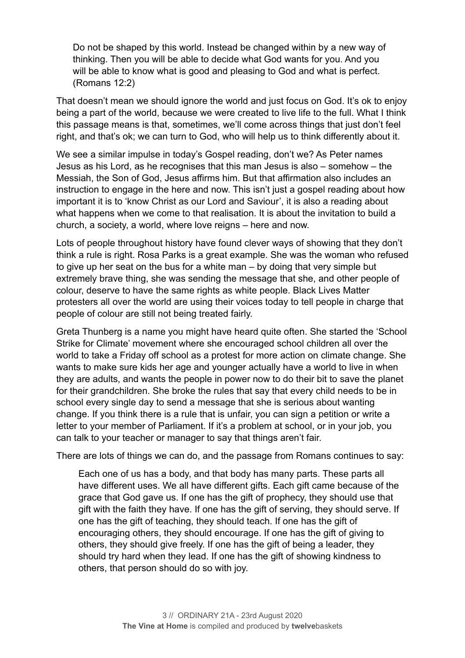Do not be shaped by this world. Instead be changed within by a new way of thinking. Then you will be able to decide what God wants for you. And you will be able to know what is good and pleasing to God and what is perfect. (Romans 12:2)

That doesn't mean we should ignore the world and just focus on God. It's ok to enjoy being a part of the world, because we were created to live life to the full. What I think this passage means is that, sometimes, we'll come across things that just don't feel right, and that's ok; we can turn to God, who will help us to think differently about it.

We see a similar impulse in today's Gospel reading, don't we? As Peter names Jesus as his Lord, as he recognises that this man Jesus is also – somehow – the Messiah, the Son of God, Jesus affirms him. But that affirmation also includes an instruction to engage in the here and now. This isn't just a gospel reading about how important it is to 'know Christ as our Lord and Saviour', it is also a reading about what happens when we come to that realisation. It is about the invitation to build a church, a society, a world, where love reigns – here and now.

Lots of people throughout history have found clever ways of showing that they don't think a rule is right. Rosa Parks is a great example. She was the woman who refused to give up her seat on the bus for a white man – by doing that very simple but extremely brave thing, she was sending the message that she, and other people of colour, deserve to have the same rights as white people. Black Lives Matter protesters all over the world are using their voices today to tell people in charge that people of colour are still not being treated fairly.

Greta Thunberg is a name you might have heard quite often. She started the 'School Strike for Climate' movement where she encouraged school children all over the world to take a Friday off school as a protest for more action on climate change. She wants to make sure kids her age and younger actually have a world to live in when they are adults, and wants the people in power now to do their bit to save the planet for their grandchildren. She broke the rules that say that every child needs to be in school every single day to send a message that she is serious about wanting change. If you think there is a rule that is unfair, you can sign a petition or write a letter to your member of Parliament. If it's a problem at school, or in your job, you can talk to your teacher or manager to say that things aren't fair.

There are lots of things we can do, and the passage from Romans continues to say:

Each one of us has a body, and that body has many parts. These parts all have different uses. We all have different gifts. Each gift came because of the grace that God gave us. If one has the gift of prophecy, they should use that gift with the faith they have. If one has the gift of serving, they should serve. If one has the gift of teaching, they should teach. If one has the gift of encouraging others, they should encourage. If one has the gift of giving to others, they should give freely. If one has the gift of being a leader, they should try hard when they lead. If one has the gift of showing kindness to others, that person should do so with joy.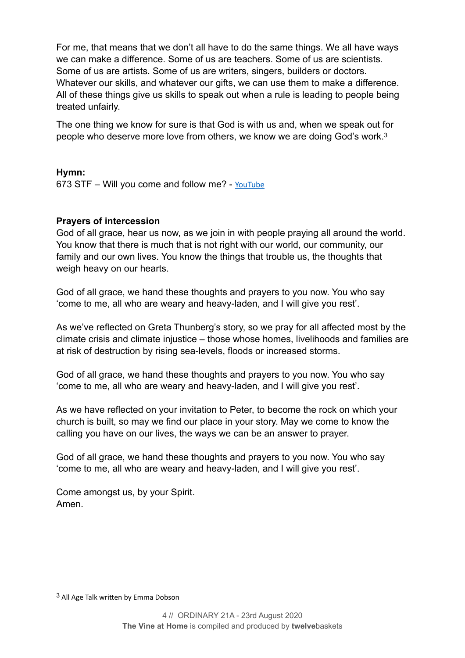For me, that means that we don't all have to do the same things. We all have ways we can make a difference. Some of us are teachers. Some of us are scientists. Some of us are artists. Some of us are writers, singers, builders or doctors. Whatever our skills, and whatever our gifts, we can use them to make a difference. All of these things give us skills to speak out when a rule is leading to people being treated unfairly.

<span id="page-4-1"></span>The one thing we know for sure is that God is with us and, when we speak out for people who deserve more love from others, we know we are doing God's work[.3](#page-4-0)

#### **Hymn:**

673 STF – Will you come and follow me? - [YouTube](https://www.youtube.com/watch?v=MJti4xHJHWA)

#### **Prayers of intercession**

God of all grace, hear us now, as we join in with people praying all around the world. You know that there is much that is not right with our world, our community, our family and our own lives. You know the things that trouble us, the thoughts that weigh heavy on our hearts.

God of all grace, we hand these thoughts and prayers to you now. You who say 'come to me, all who are weary and heavy-laden, and I will give you rest'.

As we've reflected on Greta Thunberg's story, so we pray for all affected most by the climate crisis and climate injustice – those whose homes, livelihoods and families are at risk of destruction by rising sea-levels, floods or increased storms.

God of all grace, we hand these thoughts and prayers to you now. You who say 'come to me, all who are weary and heavy-laden, and I will give you rest'.

As we have reflected on your invitation to Peter, to become the rock on which your church is built, so may we find our place in your story. May we come to know the calling you have on our lives, the ways we can be an answer to prayer.

God of all grace, we hand these thoughts and prayers to you now. You who say 'come to me, all who are weary and heavy-laden, and I will give you rest'.

Come amongst us, by your Spirit. Amen.

<span id="page-4-0"></span> $3$  All Age Talk written by Emma Dobson